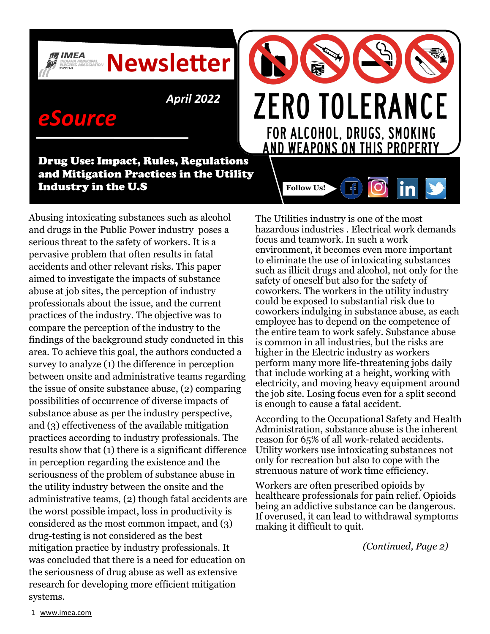*April 2022*

**Newsletter**

# *eSource*

**IMEA** 

Drug Use: Impact, Rules, Regulations and Mitigation Practices in the Utility Industry in the U.S

Abusing intoxicating substances such as alcohol and drugs in the Public Power industry poses a serious threat to the safety of workers. It is a pervasive problem that often results in fatal accidents and other relevant risks. This paper aimed to investigate the impacts of substance abuse at job sites, the perception of industry professionals about the issue, and the current practices of the industry. The objective was to compare the perception of the industry to the findings of the background study conducted in this area. To achieve this goal, the authors conducted a survey to analyze (1) the difference in perception between onsite and administrative teams regarding the issue of onsite substance abuse, (2) comparing possibilities of occurrence of diverse impacts of substance abuse as per the industry perspective, and (3) effectiveness of the available mitigation practices according to industry professionals. The results show that (1) there is a significant difference in perception regarding the existence and the seriousness of the problem of substance abuse in the utility industry between the onsite and the administrative teams, (2) though fatal accidents are the worst possible impact, loss in productivity is considered as the most common impact, and (3) drug-testing is not considered as the best mitigation practice by industry professionals. It was concluded that there is a need for education on the seriousness of drug abuse as well as extensive research for developing more efficient mitigation systems.

The Utilities industry is one of the most hazardous industries . Electrical work demands focus and teamwork. In such a work environment, it becomes even more important to eliminate the use of intoxicating substances such as illicit drugs and alcohol, not only for the safety of oneself but also for the safety of coworkers. The workers in the utility industry could be exposed to substantial risk due to coworkers indulging in substance abuse, as each employee has to depend on the competence of the entire team to work safely. Substance abuse is common in all industries, but the risks are higher in the Electric industry as workers perform many more life-threatening jobs daily that include working at a height, working with electricity, and moving heavy equipment around the job site. Losing focus even for a split second is enough to cause a fatal accident.

**ZERO TOLERANCE** 

FOR ALCOHOL, DRUGS, SMOKING **AND WEAPONS ON THIS PROPERTY** 

in

**Follow Us!**

According to the Occupational Safety and Health Administration, substance abuse is the inherent reason for 65% of all work-related accidents. Utility workers use intoxicating substances not only for recreation but also to cope with the strenuous nature of work time efficiency.

Workers are often prescribed opioids by healthcare professionals for pain relief. Opioids being an addictive substance can be dangerous. If overused, it can lead to withdrawal symptoms making it difficult to quit.

 *(Continued, Page 2)*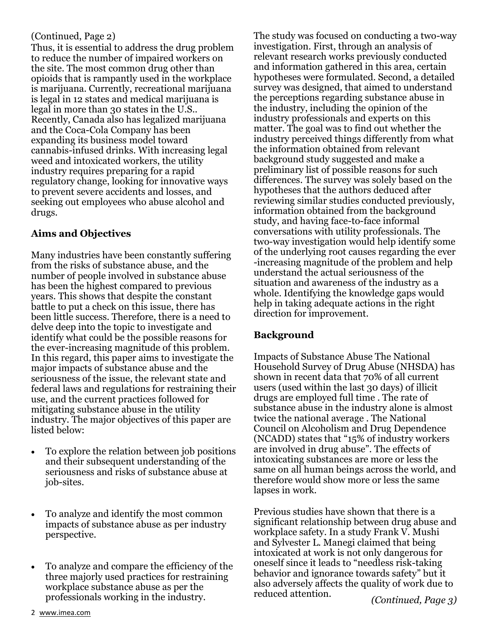Thus, it is essential to address the drug problem to reduce the number of impaired workers on the site. The most common drug other than opioids that is rampantly used in the workplace is marijuana. Currently, recreational marijuana is legal in 12 states and medical marijuana is legal in more than 30 states in the U.S.. Recently, Canada also has legalized marijuana and the Coca-Cola Company has been expanding its business model toward cannabis-infused drinks. With increasing legal weed and intoxicated workers, the utility industry requires preparing for a rapid regulatory change, looking for innovative ways to prevent severe accidents and losses, and seeking out employees who abuse alcohol and drugs.

### **Aims and Objectives**

Many industries have been constantly suffering from the risks of substance abuse, and the number of people involved in substance abuse has been the highest compared to previous years. This shows that despite the constant battle to put a check on this issue, there has been little success. Therefore, there is a need to delve deep into the topic to investigate and identify what could be the possible reasons for the ever-increasing magnitude of this problem. In this regard, this paper aims to investigate the major impacts of substance abuse and the seriousness of the issue, the relevant state and federal laws and regulations for restraining their use, and the current practices followed for mitigating substance abuse in the utility industry. The major objectives of this paper are listed below:

- To explore the relation between job positions and their subsequent understanding of the seriousness and risks of substance abuse at job-sites.
- To analyze and identify the most common impacts of substance abuse as per industry perspective.
- To analyze and compare the efficiency of the three majorly used practices for restraining workplace substance abuse as per the professionals working in the industry.

(Continued, Page 2) The study was focused on conducting a two-way investigation. First, through an analysis of relevant research works previously conducted and information gathered in this area, certain hypotheses were formulated. Second, a detailed survey was designed, that aimed to understand the perceptions regarding substance abuse in the industry, including the opinion of the industry professionals and experts on this matter. The goal was to find out whether the industry perceived things differently from what the information obtained from relevant background study suggested and make a preliminary list of possible reasons for such differences. The survey was solely based on the hypotheses that the authors deduced after reviewing similar studies conducted previously, information obtained from the background study, and having face-to-face informal conversations with utility professionals. The two-way investigation would help identify some of the underlying root causes regarding the ever -increasing magnitude of the problem and help understand the actual seriousness of the situation and awareness of the industry as a whole. Identifying the knowledge gaps would help in taking adequate actions in the right direction for improvement.

### **Background**

Impacts of Substance Abuse The National Household Survey of Drug Abuse (NHSDA) has shown in recent data that 70% of all current users (used within the last 30 days) of illicit drugs are employed full time . The rate of substance abuse in the industry alone is almost twice the national average . The National Council on Alcoholism and Drug Dependence (NCADD) states that "15% of industry workers are involved in drug abuse". The effects of intoxicating substances are more or less the same on all human beings across the world, and therefore would show more or less the same lapses in work.

Previous studies have shown that there is a significant relationship between drug abuse and workplace safety. In a study Frank V. Mushi and Sylvester L. Manegi claimed that being intoxicated at work is not only dangerous for oneself since it leads to "needless risk-taking behavior and ignorance towards safety" but it also adversely affects the quality of work due to reduced attention.

2 [www.imea.com](http://www.imea.com/aws/IMEA/pt/sp/home-page)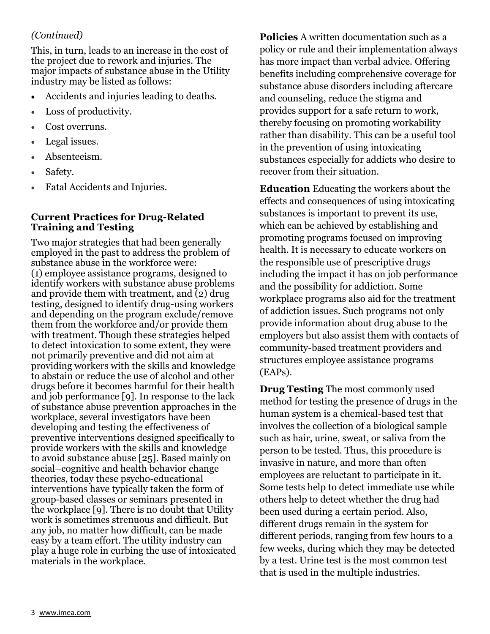### *(Continued)*

This, in turn, leads to an increase in the cost of the project due to rework and injuries. The major impacts of substance abuse in the Utility industry may be listed as follows:

- Accidents and injuries leading to deaths.
- Loss of productivity.
- Cost overruns.
- Legal issues.
- Absenteeism.
- Safety.
- Fatal Accidents and Injuries.

### **Current Practices for Drug-Related Training and Testing**

Two major strategies that had been generally employed in the past to address the problem of substance abuse in the workforce were: (1) employee assistance programs, designed to identify workers with substance abuse problems and provide them with treatment, and (2) drug testing, designed to identify drug-using workers and depending on the program exclude/remove them from the workforce and/or provide them with treatment. Though these strategies helped to detect intoxication to some extent, they were not primarily preventive and did not aim at providing workers with the skills and knowledge to abstain or reduce the use of alcohol and other drugs before it becomes harmful for their health and job performance [9]. In response to the lack of substance abuse prevention approaches in the workplace, several investigators have been developing and testing the effectiveness of preventive interventions designed specifically to provide workers with the skills and knowledge to avoid substance abuse [25]. Based mainly on social–cognitive and health behavior change theories, today these psycho-educational interventions have typically taken the form of group-based classes or seminars presented in the workplace [9]. There is no doubt that Utility work is sometimes strenuous and difficult. But any job, no matter how difficult, can be made easy by a team effort. The utility industry can play a huge role in curbing the use of intoxicated materials in the workplace.

**Policies** A written documentation such as a policy or rule and their implementation always has more impact than verbal advice. Offering benefits including comprehensive coverage for substance abuse disorders including aftercare and counseling, reduce the stigma and provides support for a safe return to work, thereby focusing on promoting workability rather than disability. This can be a useful tool in the prevention of using intoxicating substances especially for addicts who desire to recover from their situation.

**Education** Educating the workers about the effects and consequences of using intoxicating substances is important to prevent its use, which can be achieved by establishing and promoting programs focused on improving health. It is necessary to educate workers on the responsible use of prescriptive drugs including the impact it has on job performance and the possibility for addiction. Some workplace programs also aid for the treatment of addiction issues. Such programs not only provide information about drug abuse to the employers but also assist them with contacts of community-based treatment providers and structures employee assistance programs (EAPs).

**Drug Testing** The most commonly used method for testing the presence of drugs in the human system is a chemical-based test that involves the collection of a biological sample such as hair, urine, sweat, or saliva from the person to be tested. Thus, this procedure is invasive in nature, and more than often employees are reluctant to participate in it. Some tests help to detect immediate use while others help to detect whether the drug had been used during a certain period. Also, different drugs remain in the system for different periods, ranging from few hours to a few weeks, during which they may be detected by a test. Urine test is the most common test that is used in the multiple industries.